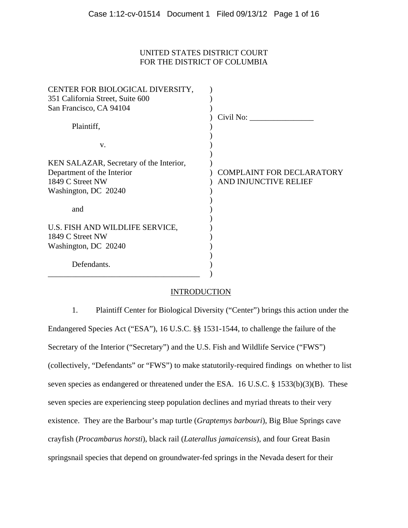## UNITED STATES DISTRICT COURT FOR THE DISTRICT OF COLUMBIA

| CENTER FOR BIOLOGICAL DIVERSITY,<br>351 California Street, Suite 600 |                                  |
|----------------------------------------------------------------------|----------------------------------|
| San Francisco, CA 94104                                              |                                  |
|                                                                      | Civil No:                        |
| Plaintiff,                                                           |                                  |
|                                                                      |                                  |
| V.                                                                   |                                  |
| KEN SALAZAR, Secretary of the Interior,                              |                                  |
| Department of the Interior                                           | <b>COMPLAINT FOR DECLARATORY</b> |
| 1849 C Street NW                                                     | AND INJUNCTIVE RELIEF            |
| Washington, DC 20240                                                 |                                  |
|                                                                      |                                  |
| and                                                                  |                                  |
|                                                                      |                                  |
| U.S. FISH AND WILDLIFE SERVICE,                                      |                                  |
| 1849 C Street NW                                                     |                                  |
| Washington, DC 20240                                                 |                                  |
|                                                                      |                                  |
| Defendants.                                                          |                                  |
|                                                                      |                                  |

## **INTRODUCTION**

1. Plaintiff Center for Biological Diversity ("Center") brings this action under the Endangered Species Act ("ESA"), 16 U.S.C. §§ 1531-1544, to challenge the failure of the Secretary of the Interior ("Secretary") and the U.S. Fish and Wildlife Service ("FWS") (collectively, "Defendants" or "FWS") to make statutorily-required findings on whether to list seven species as endangered or threatened under the ESA. 16 U.S.C. § 1533(b)(3)(B). These seven species are experiencing steep population declines and myriad threats to their very existence. They are the Barbour's map turtle (*Graptemys barbouri*), Big Blue Springs cave crayfish (*Procambarus horsti*), black rail (*Laterallus jamaicensis*), and four Great Basin springsnail species that depend on groundwater-fed springs in the Nevada desert for their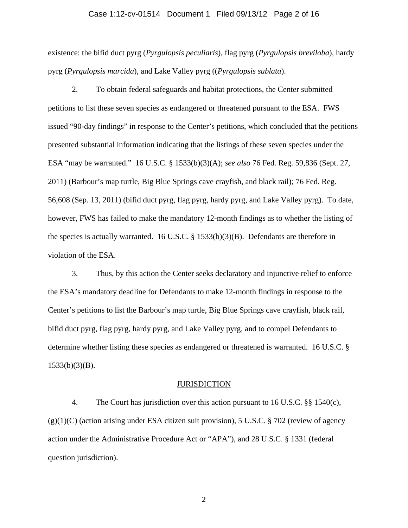#### Case 1:12-cv-01514 Document 1 Filed 09/13/12 Page 2 of 16

existence: the bifid duct pyrg (*Pyrgulopsis peculiaris*), flag pyrg (*Pyrgulopsis breviloba*), hardy pyrg (*Pyrgulopsis marcida*), and Lake Valley pyrg ((*Pyrgulopsis sublata*).

2. To obtain federal safeguards and habitat protections, the Center submitted petitions to list these seven species as endangered or threatened pursuant to the ESA. FWS issued "90-day findings" in response to the Center's petitions, which concluded that the petitions presented substantial information indicating that the listings of these seven species under the ESA "may be warranted." 16 U.S.C. § 1533(b)(3)(A); *see also* 76 Fed. Reg. 59,836 (Sept. 27, 2011) (Barbour's map turtle, Big Blue Springs cave crayfish, and black rail); 76 Fed. Reg. 56,608 (Sep. 13, 2011) (bifid duct pyrg, flag pyrg, hardy pyrg, and Lake Valley pyrg). To date, however, FWS has failed to make the mandatory 12-month findings as to whether the listing of the species is actually warranted. 16 U.S.C. § 1533(b)(3)(B). Defendants are therefore in violation of the ESA.

3. Thus, by this action the Center seeks declaratory and injunctive relief to enforce the ESA's mandatory deadline for Defendants to make 12-month findings in response to the Center's petitions to list the Barbour's map turtle, Big Blue Springs cave crayfish, black rail, bifid duct pyrg, flag pyrg, hardy pyrg, and Lake Valley pyrg, and to compel Defendants to determine whether listing these species as endangered or threatened is warranted. 16 U.S.C. § 1533(b)(3)(B).

#### **JURISDICTION**

4. The Court has jurisdiction over this action pursuant to 16 U.S.C. §§ 1540(c),  $(g)(1)(C)$  (action arising under ESA citizen suit provision), 5 U.S.C. § 702 (review of agency action under the Administrative Procedure Act or "APA"), and 28 U.S.C. § 1331 (federal question jurisdiction).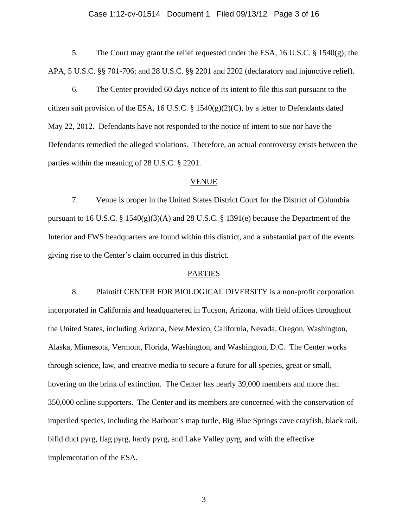#### Case 1:12-cv-01514 Document 1 Filed 09/13/12 Page 3 of 16

5. The Court may grant the relief requested under the ESA, 16 U.S.C. § 1540(g); the APA, 5 U.S.C. §§ 701-706; and 28 U.S.C. §§ 2201 and 2202 (declaratory and injunctive relief).

6. The Center provided 60 days notice of its intent to file this suit pursuant to the citizen suit provision of the ESA, 16 U.S.C. § 1540 $(g)(2)(C)$ , by a letter to Defendants dated May 22, 2012. Defendants have not responded to the notice of intent to sue nor have the Defendants remedied the alleged violations. Therefore, an actual controversy exists between the parties within the meaning of 28 U.S.C. § 2201.

## VENUE

7. Venue is proper in the United States District Court for the District of Columbia pursuant to 16 U.S.C. § 1540(g)(3)(A) and 28 U.S.C. § 1391(e) because the Department of the Interior and FWS headquarters are found within this district, and a substantial part of the events giving rise to the Center's claim occurred in this district.

#### PARTIES

8. Plaintiff CENTER FOR BIOLOGICAL DIVERSITY is a non-profit corporation incorporated in California and headquartered in Tucson, Arizona, with field offices throughout the United States, including Arizona, New Mexico, California, Nevada, Oregon, Washington, Alaska, Minnesota, Vermont, Florida, Washington, and Washington, D.C. The Center works through science, law, and creative media to secure a future for all species, great or small, hovering on the brink of extinction.The Center has nearly 39,000 members and more than 350,000 online supporters. The Center and its members are concerned with the conservation of imperiled species, including the Barbour's map turtle, Big Blue Springs cave crayfish, black rail, bifid duct pyrg, flag pyrg, hardy pyrg, and Lake Valley pyrg, and with the effective implementation of the ESA.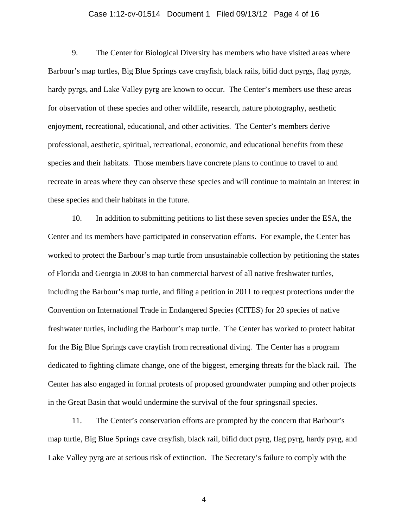#### Case 1:12-cv-01514 Document 1 Filed 09/13/12 Page 4 of 16

9. The Center for Biological Diversity has members who have visited areas where Barbour's map turtles, Big Blue Springs cave crayfish, black rails, bifid duct pyrgs, flag pyrgs, hardy pyrgs, and Lake Valley pyrg are known to occur. The Center's members use these areas for observation of these species and other wildlife, research, nature photography, aesthetic enjoyment, recreational, educational, and other activities. The Center's members derive professional, aesthetic, spiritual, recreational, economic, and educational benefits from these species and their habitats. Those members have concrete plans to continue to travel to and recreate in areas where they can observe these species and will continue to maintain an interest in these species and their habitats in the future.

10. In addition to submitting petitions to list these seven species under the ESA, the Center and its members have participated in conservation efforts. For example, the Center has worked to protect the Barbour's map turtle from unsustainable collection by petitioning the states of Florida and Georgia in 2008 to ban commercial harvest of all native freshwater turtles, including the Barbour's map turtle, and filing a petition in 2011 to request protections under the Convention on International Trade in Endangered Species (CITES) for 20 species of native freshwater turtles, including the Barbour's map turtle. The Center has worked to protect habitat for the Big Blue Springs cave crayfish from recreational diving. The Center has a program dedicated to fighting climate change, one of the biggest, emerging threats for the black rail. The Center has also engaged in formal protests of proposed groundwater pumping and other projects in the Great Basin that would undermine the survival of the four springsnail species.

11. The Center's conservation efforts are prompted by the concern that Barbour's map turtle, Big Blue Springs cave crayfish, black rail, bifid duct pyrg, flag pyrg, hardy pyrg, and Lake Valley pyrg are at serious risk of extinction. The Secretary's failure to comply with the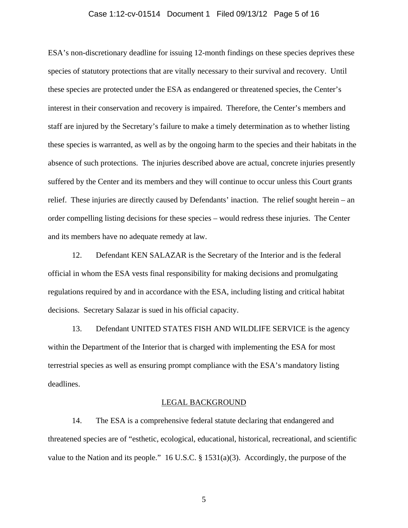## Case 1:12-cv-01514 Document 1 Filed 09/13/12 Page 5 of 16

ESA's non-discretionary deadline for issuing 12-month findings on these species deprives these species of statutory protections that are vitally necessary to their survival and recovery. Until these species are protected under the ESA as endangered or threatened species, the Center's interest in their conservation and recovery is impaired. Therefore, the Center's members and staff are injured by the Secretary's failure to make a timely determination as to whether listing these species is warranted, as well as by the ongoing harm to the species and their habitats in the absence of such protections. The injuries described above are actual, concrete injuries presently suffered by the Center and its members and they will continue to occur unless this Court grants relief. These injuries are directly caused by Defendants' inaction. The relief sought herein – an order compelling listing decisions for these species – would redress these injuries. The Center and its members have no adequate remedy at law.

12. Defendant KEN SALAZAR is the Secretary of the Interior and is the federal official in whom the ESA vests final responsibility for making decisions and promulgating regulations required by and in accordance with the ESA, including listing and critical habitat decisions. Secretary Salazar is sued in his official capacity.

13. Defendant UNITED STATES FISH AND WILDLIFE SERVICE is the agency within the Department of the Interior that is charged with implementing the ESA for most terrestrial species as well as ensuring prompt compliance with the ESA's mandatory listing deadlines.

#### LEGAL BACKGROUND

14. The ESA is a comprehensive federal statute declaring that endangered and threatened species are of "esthetic, ecological, educational, historical, recreational, and scientific value to the Nation and its people." 16 U.S.C. § 1531(a)(3). Accordingly, the purpose of the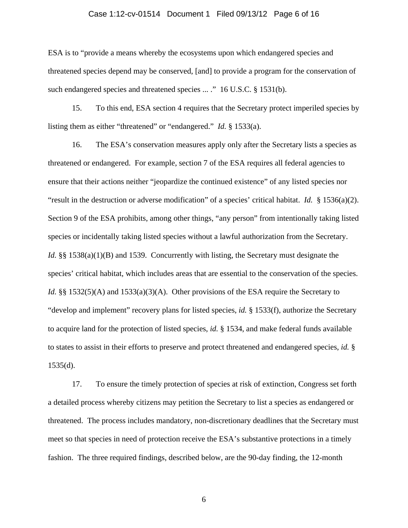#### Case 1:12-cv-01514 Document 1 Filed 09/13/12 Page 6 of 16

ESA is to "provide a means whereby the ecosystems upon which endangered species and threatened species depend may be conserved, [and] to provide a program for the conservation of such endangered species and threatened species ... ." 16 U.S.C. § 1531(b).

15. To this end, ESA section 4 requires that the Secretary protect imperiled species by listing them as either "threatened" or "endangered." *Id.* § 1533(a).

16. The ESA's conservation measures apply only after the Secretary lists a species as threatened or endangered. For example, section 7 of the ESA requires all federal agencies to ensure that their actions neither "jeopardize the continued existence" of any listed species nor "result in the destruction or adverse modification" of a species' critical habitat. *Id.* § 1536(a)(2). Section 9 of the ESA prohibits, among other things, "any person" from intentionally taking listed species or incidentally taking listed species without a lawful authorization from the Secretary. *Id.* §§ 1538(a)(1)(B) and 1539. Concurrently with listing, the Secretary must designate the species' critical habitat, which includes areas that are essential to the conservation of the species. *Id.* §§ 1532(5)(A) and 1533(a)(3)(A). Other provisions of the ESA require the Secretary to "develop and implement" recovery plans for listed species, *id.* § 1533(f), authorize the Secretary to acquire land for the protection of listed species, *id.* § 1534, and make federal funds available to states to assist in their efforts to preserve and protect threatened and endangered species, *id.* §  $1535(d)$ .

17. To ensure the timely protection of species at risk of extinction, Congress set forth a detailed process whereby citizens may petition the Secretary to list a species as endangered or threatened. The process includes mandatory, non-discretionary deadlines that the Secretary must meet so that species in need of protection receive the ESA's substantive protections in a timely fashion. The three required findings, described below, are the 90-day finding, the 12-month

 $\sim$  6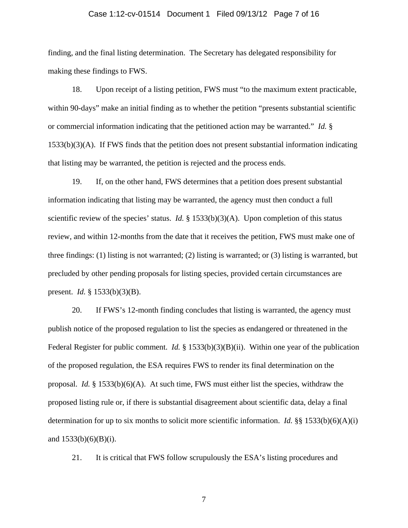#### Case 1:12-cv-01514 Document 1 Filed 09/13/12 Page 7 of 16

finding, and the final listing determination. The Secretary has delegated responsibility for making these findings to FWS.

18. Upon receipt of a listing petition, FWS must "to the maximum extent practicable, within 90-days" make an initial finding as to whether the petition "presents substantial scientific or commercial information indicating that the petitioned action may be warranted." *Id.* §  $1533(b)(3)(A)$ . If FWS finds that the petition does not present substantial information indicating that listing may be warranted, the petition is rejected and the process ends.

19. If, on the other hand, FWS determines that a petition does present substantial information indicating that listing may be warranted, the agency must then conduct a full scientific review of the species' status. *Id.* § 1533(b)(3)(A). Upon completion of this status review, and within 12-months from the date that it receives the petition, FWS must make one of three findings: (1) listing is not warranted; (2) listing is warranted; or (3) listing is warranted, but precluded by other pending proposals for listing species, provided certain circumstances are present. *Id.* § 1533(b)(3)(B).

20. If FWS's 12-month finding concludes that listing is warranted, the agency must publish notice of the proposed regulation to list the species as endangered or threatened in the Federal Register for public comment. *Id.* § 1533(b)(3)(B)(ii). Within one year of the publication of the proposed regulation, the ESA requires FWS to render its final determination on the proposal. *Id.* § 1533(b)(6)(A). At such time, FWS must either list the species, withdraw the proposed listing rule or, if there is substantial disagreement about scientific data, delay a final determination for up to six months to solicit more scientific information. *Id.* §§ 1533(b)(6)(A)(i) and  $1533(b)(6)(B)(i)$ .

21. It is critical that FWS follow scrupulously the ESA's listing procedures and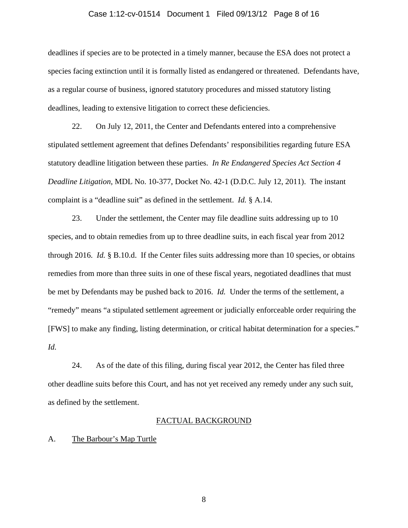#### Case 1:12-cv-01514 Document 1 Filed 09/13/12 Page 8 of 16

deadlines if species are to be protected in a timely manner, because the ESA does not protect a species facing extinction until it is formally listed as endangered or threatened. Defendants have, as a regular course of business, ignored statutory procedures and missed statutory listing deadlines, leading to extensive litigation to correct these deficiencies.

22. On July 12, 2011, the Center and Defendants entered into a comprehensive stipulated settlement agreement that defines Defendants' responsibilities regarding future ESA statutory deadline litigation between these parties. *In Re Endangered Species Act Section 4 Deadline Litigation*, MDL No. 10-377, Docket No. 42-1 (D.D.C. July 12, 2011). The instant complaint is a "deadline suit" as defined in the settlement. *Id.* § A.14.

23. Under the settlement, the Center may file deadline suits addressing up to 10 species, and to obtain remedies from up to three deadline suits, in each fiscal year from 2012 through 2016. *Id.* § B.10.d. If the Center files suits addressing more than 10 species, or obtains remedies from more than three suits in one of these fiscal years, negotiated deadlines that must be met by Defendants may be pushed back to 2016. *Id.* Under the terms of the settlement, a "remedy" means "a stipulated settlement agreement or judicially enforceable order requiring the [FWS] to make any finding, listing determination, or critical habitat determination for a species." *Id.*

24. As of the date of this filing, during fiscal year 2012, the Center has filed three other deadline suits before this Court, and has not yet received any remedy under any such suit, as defined by the settlement.

#### FACTUAL BACKGROUND

#### A. The Barbour's Map Turtle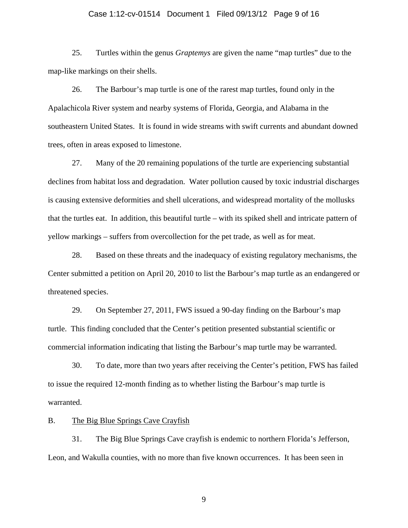#### Case 1:12-cv-01514 Document 1 Filed 09/13/12 Page 9 of 16

25. Turtles within the genus *Graptemys* are given the name "map turtles" due to the map-like markings on their shells.

26. The Barbour's map turtle is one of the rarest map turtles, found only in the Apalachicola River system and nearby systems of Florida, Georgia, and Alabama in the southeastern United States. It is found in wide streams with swift currents and abundant downed trees, often in areas exposed to limestone.

27. Many of the 20 remaining populations of the turtle are experiencing substantial declines from habitat loss and degradation. Water pollution caused by toxic industrial discharges is causing extensive deformities and shell ulcerations, and widespread mortality of the mollusks that the turtles eat. In addition, this beautiful turtle – with its spiked shell and intricate pattern of yellow markings – suffers from overcollection for the pet trade, as well as for meat.

28. Based on these threats and the inadequacy of existing regulatory mechanisms, the Center submitted a petition on April 20, 2010 to list the Barbour's map turtle as an endangered or threatened species.

29. On September 27, 2011, FWS issued a 90-day finding on the Barbour's map turtle. This finding concluded that the Center's petition presented substantial scientific or commercial information indicating that listing the Barbour's map turtle may be warranted.

30. To date, more than two years after receiving the Center's petition, FWS has failed to issue the required 12-month finding as to whether listing the Barbour's map turtle is warranted.

## B. The Big Blue Springs Cave Crayfish

31. The Big Blue Springs Cave crayfish is endemic to northern Florida's Jefferson, Leon, and Wakulla counties, with no more than five known occurrences. It has been seen in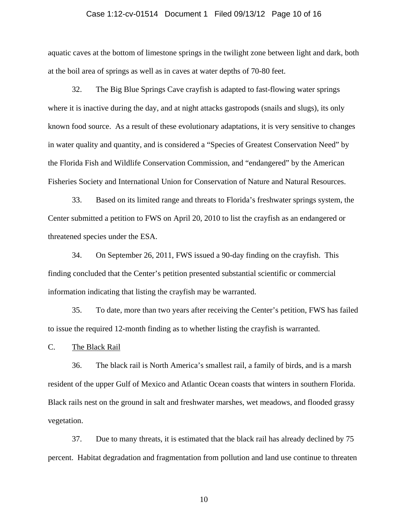#### Case 1:12-cv-01514 Document 1 Filed 09/13/12 Page 10 of 16

aquatic caves at the bottom of limestone springs in the twilight zone between light and dark, both at the boil area of springs as well as in caves at water depths of 70-80 feet.

32. The Big Blue Springs Cave crayfish is adapted to fast-flowing water springs where it is inactive during the day, and at night attacks gastropods (snails and slugs), its only known food source. As a result of these evolutionary adaptations, it is very sensitive to changes in water quality and quantity, and is considered a "Species of Greatest Conservation Need" by the Florida Fish and Wildlife Conservation Commission, and "endangered" by the American Fisheries Society and International Union for Conservation of Nature and Natural Resources.

33. Based on its limited range and threats to Florida's freshwater springs system, the Center submitted a petition to FWS on April 20, 2010 to list the crayfish as an endangered or threatened species under the ESA.

34. On September 26, 2011, FWS issued a 90-day finding on the crayfish. This finding concluded that the Center's petition presented substantial scientific or commercial information indicating that listing the crayfish may be warranted.

35. To date, more than two years after receiving the Center's petition, FWS has failed to issue the required 12-month finding as to whether listing the crayfish is warranted.

C. The Black Rail

36. The black rail is North America's smallest rail, a family of birds, and is a marsh resident of the upper Gulf of Mexico and Atlantic Ocean coasts that winters in southern Florida. Black rails nest on the ground in salt and freshwater marshes, wet meadows, and flooded grassy vegetation.

37. Due to many threats, it is estimated that the black rail has already declined by 75 percent. Habitat degradation and fragmentation from pollution and land use continue to threaten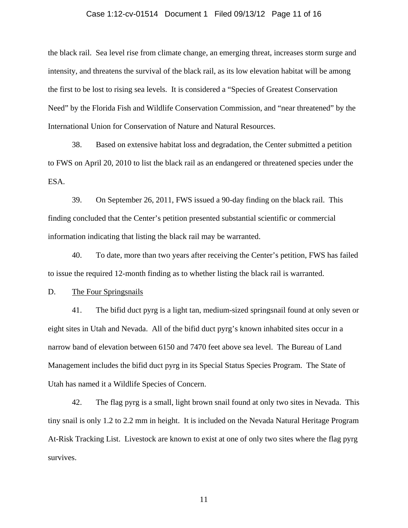#### Case 1:12-cv-01514 Document 1 Filed 09/13/12 Page 11 of 16

the black rail. Sea level rise from climate change, an emerging threat, increases storm surge and intensity, and threatens the survival of the black rail, as its low elevation habitat will be among the first to be lost to rising sea levels. It is considered a "Species of Greatest Conservation Need" by the Florida Fish and Wildlife Conservation Commission, and "near threatened" by the International Union for Conservation of Nature and Natural Resources.

38. Based on extensive habitat loss and degradation, the Center submitted a petition to FWS on April 20, 2010 to list the black rail as an endangered or threatened species under the ESA.

39. On September 26, 2011, FWS issued a 90-day finding on the black rail. This finding concluded that the Center's petition presented substantial scientific or commercial information indicating that listing the black rail may be warranted.

40. To date, more than two years after receiving the Center's petition, FWS has failed to issue the required 12-month finding as to whether listing the black rail is warranted.

D. The Four Springsnails

41. The bifid duct pyrg is a light tan, medium-sized springsnail found at only seven or eight sites in Utah and Nevada. All of the bifid duct pyrg's known inhabited sites occur in a narrow band of elevation between 6150 and 7470 feet above sea level. The Bureau of Land Management includes the bifid duct pyrg in its Special Status Species Program. The State of Utah has named it a Wildlife Species of Concern.

42. The flag pyrg is a small, light brown snail found at only two sites in Nevada. This tiny snail is only 1.2 to 2.2 mm in height. It is included on the Nevada Natural Heritage Program At-Risk Tracking List. Livestock are known to exist at one of only two sites where the flag pyrg survives.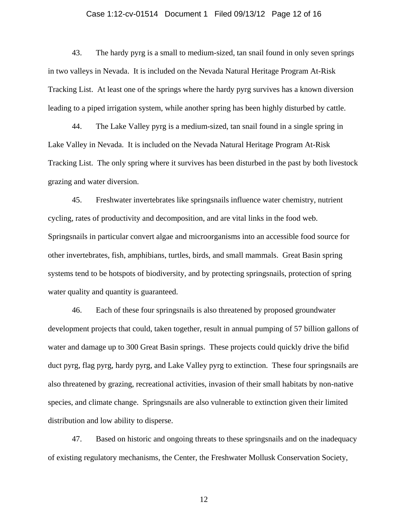#### Case 1:12-cv-01514 Document 1 Filed 09/13/12 Page 12 of 16

43. The hardy pyrg is a small to medium-sized, tan snail found in only seven springs in two valleys in Nevada. It is included on the Nevada Natural Heritage Program At-Risk Tracking List. At least one of the springs where the hardy pyrg survives has a known diversion leading to a piped irrigation system, while another spring has been highly disturbed by cattle.

44. The Lake Valley pyrg is a medium-sized, tan snail found in a single spring in Lake Valley in Nevada. It is included on the Nevada Natural Heritage Program At-Risk Tracking List. The only spring where it survives has been disturbed in the past by both livestock grazing and water diversion.

45. Freshwater invertebrates like springsnails influence water chemistry, nutrient cycling, rates of productivity and decomposition, and are vital links in the food web. Springsnails in particular convert algae and microorganisms into an accessible food source for other invertebrates, fish, amphibians, turtles, birds, and small mammals. Great Basin spring systems tend to be hotspots of biodiversity, and by protecting springsnails, protection of spring water quality and quantity is guaranteed.

46. Each of these four springsnails is also threatened by proposed groundwater development projects that could, taken together, result in annual pumping of 57 billion gallons of water and damage up to 300 Great Basin springs. These projects could quickly drive the bifid duct pyrg, flag pyrg, hardy pyrg, and Lake Valley pyrg to extinction. These four springsnails are also threatened by grazing, recreational activities, invasion of their small habitats by non-native species, and climate change. Springsnails are also vulnerable to extinction given their limited distribution and low ability to disperse.

47. Based on historic and ongoing threats to these springsnails and on the inadequacy of existing regulatory mechanisms, the Center, the Freshwater Mollusk Conservation Society,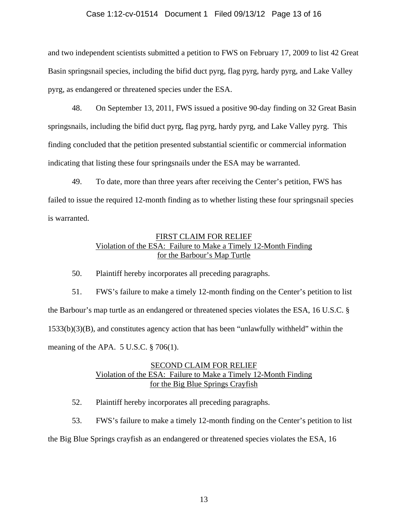## Case 1:12-cv-01514 Document 1 Filed 09/13/12 Page 13 of 16

and two independent scientists submitted a petition to FWS on February 17, 2009 to list 42 Great Basin springsnail species, including the bifid duct pyrg, flag pyrg, hardy pyrg, and Lake Valley pyrg, as endangered or threatened species under the ESA.

48. On September 13, 2011, FWS issued a positive 90-day finding on 32 Great Basin springsnails, including the bifid duct pyrg, flag pyrg, hardy pyrg, and Lake Valley pyrg. This finding concluded that the petition presented substantial scientific or commercial information indicating that listing these four springsnails under the ESA may be warranted.

49. To date, more than three years after receiving the Center's petition, FWS has failed to issue the required 12-month finding as to whether listing these four springsnail species is warranted.

# FIRST CLAIM FOR RELIEF Violation of the ESA: Failure to Make a Timely 12-Month Finding for the Barbour's Map Turtle

50. Plaintiff hereby incorporates all preceding paragraphs.

51. FWS's failure to make a timely 12-month finding on the Center's petition to list the Barbour's map turtle as an endangered or threatened species violates the ESA, 16 U.S.C. § 1533(b)(3)(B), and constitutes agency action that has been "unlawfully withheld" within the meaning of the APA. 5 U.S.C. § 706(1).

# SECOND CLAIM FOR RELIEF Violation of the ESA: Failure to Make a Timely 12-Month Finding for the Big Blue Springs Crayfish

52. Plaintiff hereby incorporates all preceding paragraphs.

53. FWS's failure to make a timely 12-month finding on the Center's petition to list the Big Blue Springs crayfish as an endangered or threatened species violates the ESA, 16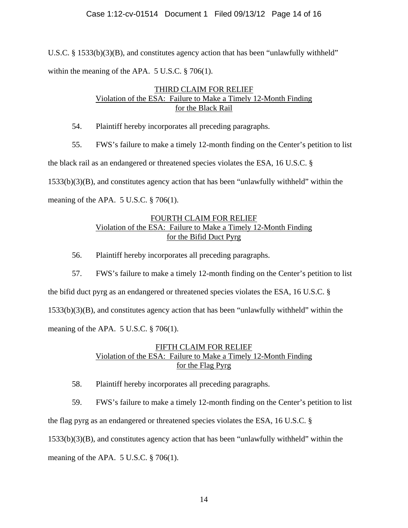U.S.C. § 1533(b)(3)(B), and constitutes agency action that has been "unlawfully withheld" within the meaning of the APA. 5 U.S.C. § 706(1).

# THIRD CLAIM FOR RELIEF Violation of the ESA: Failure to Make a Timely 12-Month Finding for the Black Rail

54. Plaintiff hereby incorporates all preceding paragraphs.

55. FWS's failure to make a timely 12-month finding on the Center's petition to list

the black rail as an endangered or threatened species violates the ESA, 16 U.S.C. §

1533(b)(3)(B), and constitutes agency action that has been "unlawfully withheld" within the

meaning of the APA.  $5 \text{ U.S.C.} \$   $3 \cdot 706(1)$ .

# FOURTH CLAIM FOR RELIEF Violation of the ESA: Failure to Make a Timely 12-Month Finding for the Bifid Duct Pyrg

56. Plaintiff hereby incorporates all preceding paragraphs.

57. FWS's failure to make a timely 12-month finding on the Center's petition to list the bifid duct pyrg as an endangered or threatened species violates the ESA, 16 U.S.C. § 1533(b)(3)(B), and constitutes agency action that has been "unlawfully withheld" within the meaning of the APA. 5 U.S.C. § 706(1).

# FIFTH CLAIM FOR RELIEF Violation of the ESA: Failure to Make a Timely 12-Month Finding for the Flag Pyrg

58. Plaintiff hereby incorporates all preceding paragraphs.

59. FWS's failure to make a timely 12-month finding on the Center's petition to list

the flag pyrg as an endangered or threatened species violates the ESA, 16 U.S.C. §

1533(b)(3)(B), and constitutes agency action that has been "unlawfully withheld" within the

meaning of the APA.  $5 \text{ U.S.C.} \$   $\frac{8}{206(1)}$ .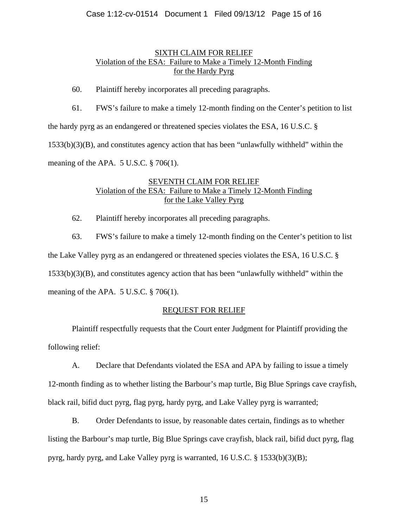## Case 1:12-cv-01514 Document 1 Filed 09/13/12 Page 15 of 16

## SIXTH CLAIM FOR RELIEF Violation of the ESA: Failure to Make a Timely 12-Month Finding for the Hardy Pyrg

60. Plaintiff hereby incorporates all preceding paragraphs.

61. FWS's failure to make a timely 12-month finding on the Center's petition to list the hardy pyrg as an endangered or threatened species violates the ESA, 16 U.S.C. § 1533(b)(3)(B), and constitutes agency action that has been "unlawfully withheld" within the meaning of the APA. 5 U.S.C. § 706(1).

# SEVENTH CLAIM FOR RELIEF Violation of the ESA: Failure to Make a Timely 12-Month Finding for the Lake Valley Pyrg

62. Plaintiff hereby incorporates all preceding paragraphs.

63. FWS's failure to make a timely 12-month finding on the Center's petition to list the Lake Valley pyrg as an endangered or threatened species violates the ESA, 16 U.S.C. § 1533(b)(3)(B), and constitutes agency action that has been "unlawfully withheld" within the meaning of the APA.  $5 \text{ U.S.C.} \$   $\frac{8}{206(1)}$ .

## REQUEST FOR RELIEF

Plaintiff respectfully requests that the Court enter Judgment for Plaintiff providing the following relief:

 A. Declare that Defendants violated the ESA and APA by failing to issue a timely 12-month finding as to whether listing the Barbour's map turtle, Big Blue Springs cave crayfish, black rail, bifid duct pyrg, flag pyrg, hardy pyrg, and Lake Valley pyrg is warranted;

 B. Order Defendants to issue, by reasonable dates certain, findings as to whether listing the Barbour's map turtle, Big Blue Springs cave crayfish, black rail, bifid duct pyrg, flag pyrg, hardy pyrg, and Lake Valley pyrg is warranted, 16 U.S.C. § 1533(b)(3)(B);